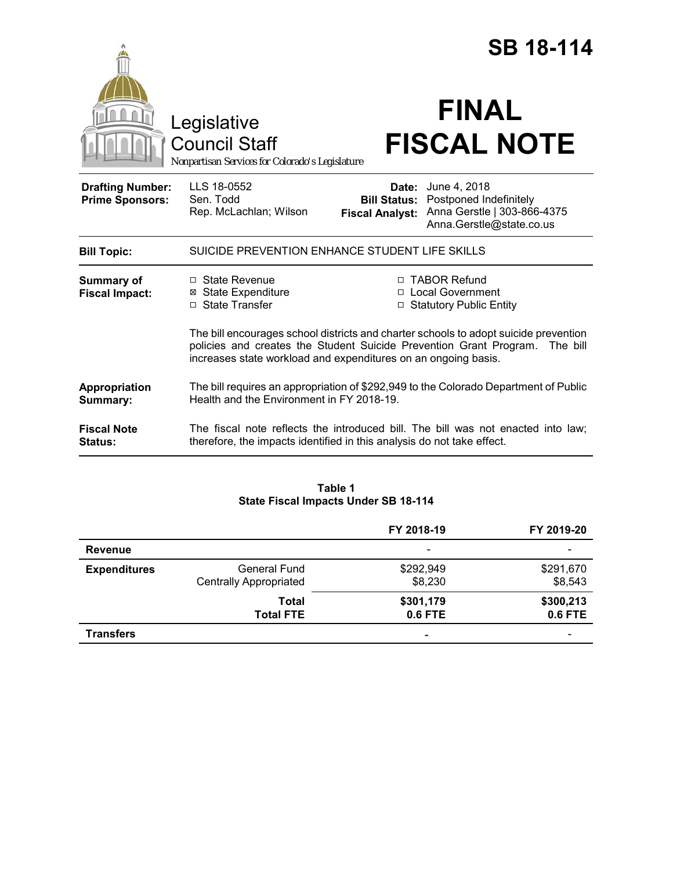|                                                   |                                                                                                                                                                                                                                       |                                 | <b>SB 18-114</b>                                                                                                      |
|---------------------------------------------------|---------------------------------------------------------------------------------------------------------------------------------------------------------------------------------------------------------------------------------------|---------------------------------|-----------------------------------------------------------------------------------------------------------------------|
|                                                   | Legislative<br><b>Council Staff</b><br>Nonpartisan Services for Colorado's Legislature                                                                                                                                                |                                 | <b>FINAL</b><br><b>FISCAL NOTE</b>                                                                                    |
| <b>Drafting Number:</b><br><b>Prime Sponsors:</b> | LLS 18-0552<br>Sen. Todd<br>Rep. McLachlan; Wilson                                                                                                                                                                                    | Date:<br><b>Fiscal Analyst:</b> | June 4, 2018<br><b>Bill Status: Postponed Indefinitely</b><br>Anna Gerstle   303-866-4375<br>Anna.Gerstle@state.co.us |
| <b>Bill Topic:</b>                                | SUICIDE PREVENTION ENHANCE STUDENT LIFE SKILLS                                                                                                                                                                                        |                                 |                                                                                                                       |
| <b>Summary of</b><br><b>Fiscal Impact:</b>        | $\Box$ State Revenue<br><b>State Expenditure</b><br>⊠<br>□ State Transfer                                                                                                                                                             | $\Box$                          | □ TABOR Refund<br>□ Local Government<br><b>Statutory Public Entity</b>                                                |
|                                                   | The bill encourages school districts and charter schools to adopt suicide prevention<br>policies and creates the Student Suicide Prevention Grant Program. The bill<br>increases state workload and expenditures on an ongoing basis. |                                 |                                                                                                                       |
| Appropriation<br>Summary:                         | The bill requires an appropriation of \$292,949 to the Colorado Department of Public<br>Health and the Environment in FY 2018-19.                                                                                                     |                                 |                                                                                                                       |
| <b>Fiscal Note</b><br><b>Status:</b>              | The fiscal note reflects the introduced bill. The bill was not enacted into law;<br>therefore, the impacts identified in this analysis do not take effect.                                                                            |                                 |                                                                                                                       |

# **Table 1 State Fiscal Impacts Under SB 18-114**

|                     |                                                      | FY 2018-19               | FY 2019-20               |
|---------------------|------------------------------------------------------|--------------------------|--------------------------|
| Revenue             |                                                      | $\overline{\phantom{a}}$ |                          |
| <b>Expenditures</b> | <b>General Fund</b><br><b>Centrally Appropriated</b> | \$292,949<br>\$8,230     | \$291,670<br>\$8,543     |
|                     | Total<br><b>Total FTE</b>                            | \$301,179<br>0.6 FTE     | \$300,213<br>0.6 FTE     |
| <b>Transfers</b>    |                                                      | -                        | $\overline{\phantom{0}}$ |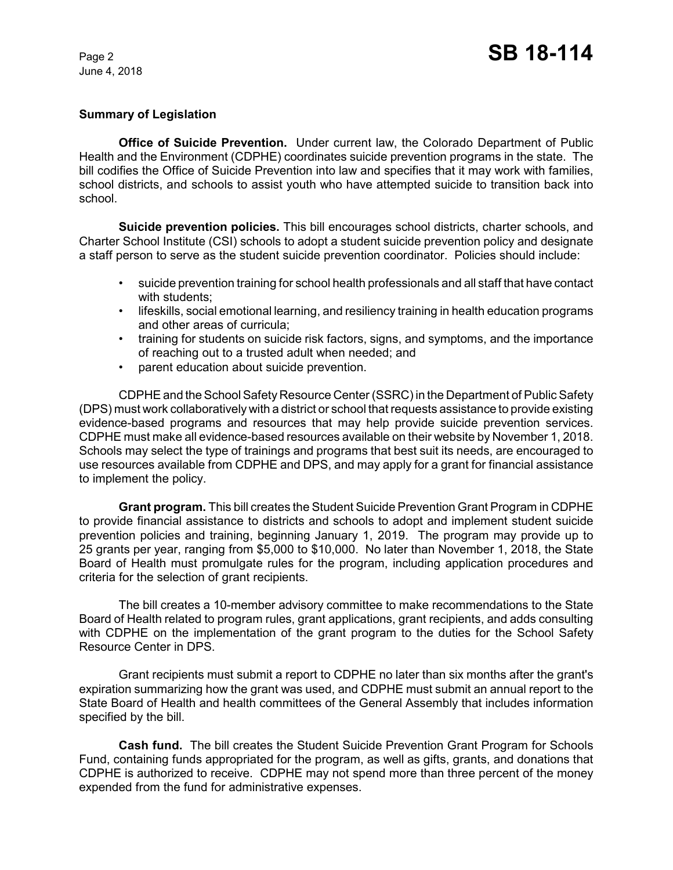# **Summary of Legislation**

**Office of Suicide Prevention.** Under current law, the Colorado Department of Public Health and the Environment (CDPHE) coordinates suicide prevention programs in the state. The bill codifies the Office of Suicide Prevention into law and specifies that it may work with families, school districts, and schools to assist youth who have attempted suicide to transition back into school.

**Suicide prevention policies.** This bill encourages school districts, charter schools, and Charter School Institute (CSI) schools to adopt a student suicide prevention policy and designate a staff person to serve as the student suicide prevention coordinator. Policies should include:

- suicide prevention training for school health professionals and all staff that have contact with students;
- lifeskills, social emotional learning, and resiliency training in health education programs and other areas of curricula;
- training for students on suicide risk factors, signs, and symptoms, and the importance of reaching out to a trusted adult when needed; and
- parent education about suicide prevention.

CDPHE and the School Safety Resource Center (SSRC) in the Department of Public Safety (DPS) must work collaboratively with a district or school that requests assistance to provide existing evidence-based programs and resources that may help provide suicide prevention services. CDPHE must make all evidence-based resources available on their website by November 1, 2018. Schools may select the type of trainings and programs that best suit its needs, are encouraged to use resources available from CDPHE and DPS, and may apply for a grant for financial assistance to implement the policy.

**Grant program.** This bill creates the Student Suicide Prevention Grant Program in CDPHE to provide financial assistance to districts and schools to adopt and implement student suicide prevention policies and training, beginning January 1, 2019. The program may provide up to 25 grants per year, ranging from \$5,000 to \$10,000. No later than November 1, 2018, the State Board of Health must promulgate rules for the program, including application procedures and criteria for the selection of grant recipients.

The bill creates a 10-member advisory committee to make recommendations to the State Board of Health related to program rules, grant applications, grant recipients, and adds consulting with CDPHE on the implementation of the grant program to the duties for the School Safety Resource Center in DPS.

Grant recipients must submit a report to CDPHE no later than six months after the grant's expiration summarizing how the grant was used, and CDPHE must submit an annual report to the State Board of Health and health committees of the General Assembly that includes information specified by the bill.

**Cash fund.** The bill creates the Student Suicide Prevention Grant Program for Schools Fund, containing funds appropriated for the program, as well as gifts, grants, and donations that CDPHE is authorized to receive. CDPHE may not spend more than three percent of the money expended from the fund for administrative expenses.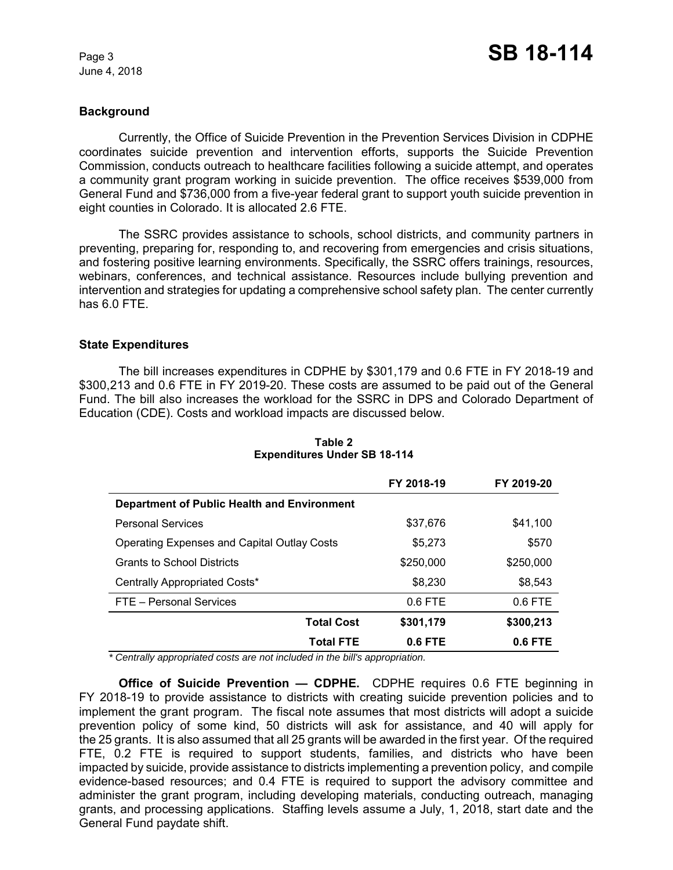# **Background**

Currently, the Office of Suicide Prevention in the Prevention Services Division in CDPHE coordinates suicide prevention and intervention efforts, supports the Suicide Prevention Commission, conducts outreach to healthcare facilities following a suicide attempt, and operates a community grant program working in suicide prevention. The office receives \$539,000 from General Fund and \$736,000 from a five-year federal grant to support youth suicide prevention in eight counties in Colorado. It is allocated 2.6 FTE.

The SSRC provides assistance to schools, school districts, and community partners in preventing, preparing for, responding to, and recovering from emergencies and crisis situations, and fostering positive learning environments. Specifically, the SSRC offers trainings, resources, webinars, conferences, and technical assistance. Resources include bullying prevention and intervention and strategies for updating a comprehensive school safety plan. The center currently has 6.0 FTE.

## **State Expenditures**

The bill increases expenditures in CDPHE by \$301,179 and 0.6 FTE in FY 2018-19 and \$300,213 and 0.6 FTE in FY 2019-20. These costs are assumed to be paid out of the General Fund. The bill also increases the workload for the SSRC in DPS and Colorado Department of Education (CDE). Costs and workload impacts are discussed below.

|                                                    | FY 2018-19 | FY 2019-20 |
|----------------------------------------------------|------------|------------|
| Department of Public Health and Environment        |            |            |
| <b>Personal Services</b>                           | \$37,676   | \$41,100   |
| <b>Operating Expenses and Capital Outlay Costs</b> | \$5,273    | \$570      |
| <b>Grants to School Districts</b>                  | \$250,000  | \$250,000  |
| Centrally Appropriated Costs*                      | \$8,230    | \$8,543    |
| FTE - Personal Services                            | $0.6$ FTE  | $0.6$ FTE  |
| <b>Total Cost</b>                                  | \$301,179  | \$300,213  |
| <b>Total FTE</b>                                   | $0.6$ FTE  | $0.6$ FTE  |

#### **Table 2 Expenditures Under SB 18-114**

 *\* Centrally appropriated costs are not included in the bill's appropriation.*

**Office of Suicide Prevention — CDPHE.** CDPHE requires 0.6 FTE beginning in FY 2018-19 to provide assistance to districts with creating suicide prevention policies and to implement the grant program. The fiscal note assumes that most districts will adopt a suicide prevention policy of some kind, 50 districts will ask for assistance, and 40 will apply for the 25 grants. It is also assumed that all 25 grants will be awarded in the first year. Of the required FTE, 0.2 FTE is required to support students, families, and districts who have been impacted by suicide, provide assistance to districts implementing a prevention policy, and compile evidence-based resources; and 0.4 FTE is required to support the advisory committee and administer the grant program, including developing materials, conducting outreach, managing grants, and processing applications. Staffing levels assume a July, 1, 2018, start date and the General Fund paydate shift.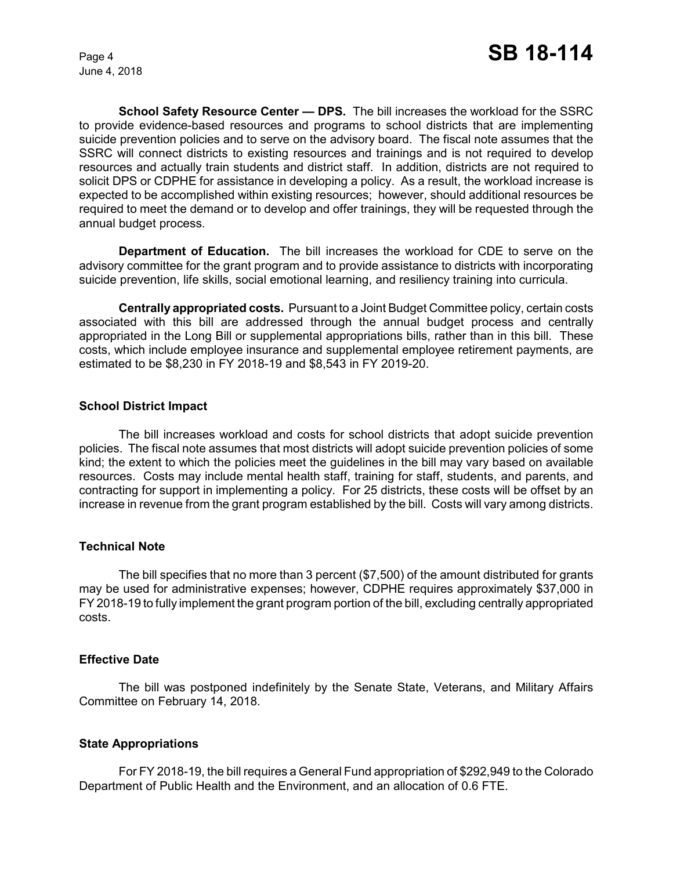**School Safety Resource Center — DPS.** The bill increases the workload for the SSRC to provide evidence-based resources and programs to school districts that are implementing suicide prevention policies and to serve on the advisory board. The fiscal note assumes that the SSRC will connect districts to existing resources and trainings and is not required to develop resources and actually train students and district staff. In addition, districts are not required to solicit DPS or CDPHE for assistance in developing a policy. As a result, the workload increase is expected to be accomplished within existing resources; however, should additional resources be required to meet the demand or to develop and offer trainings, they will be requested through the annual budget process.

**Department of Education.** The bill increases the workload for CDE to serve on the advisory committee for the grant program and to provide assistance to districts with incorporating suicide prevention, life skills, social emotional learning, and resiliency training into curricula.

**Centrally appropriated costs.** Pursuant to a Joint Budget Committee policy, certain costs associated with this bill are addressed through the annual budget process and centrally appropriated in the Long Bill or supplemental appropriations bills, rather than in this bill. These costs, which include employee insurance and supplemental employee retirement payments, are estimated to be \$8,230 in FY 2018-19 and \$8,543 in FY 2019-20.

## **School District Impact**

The bill increases workload and costs for school districts that adopt suicide prevention policies. The fiscal note assumes that most districts will adopt suicide prevention policies of some kind; the extent to which the policies meet the guidelines in the bill may vary based on available resources. Costs may include mental health staff, training for staff, students, and parents, and contracting for support in implementing a policy. For 25 districts, these costs will be offset by an increase in revenue from the grant program established by the bill. Costs will vary among districts.

## **Technical Note**

The bill specifies that no more than 3 percent (\$7,500) of the amount distributed for grants may be used for administrative expenses; however, CDPHE requires approximately \$37,000 in FY 2018-19 to fully implement the grant program portion of the bill, excluding centrally appropriated costs.

## **Effective Date**

The bill was postponed indefinitely by the Senate State, Veterans, and Military Affairs Committee on February 14, 2018.

## **State Appropriations**

For FY 2018-19, the bill requires a General Fund appropriation of \$292,949 to the Colorado Department of Public Health and the Environment, and an allocation of 0.6 FTE.